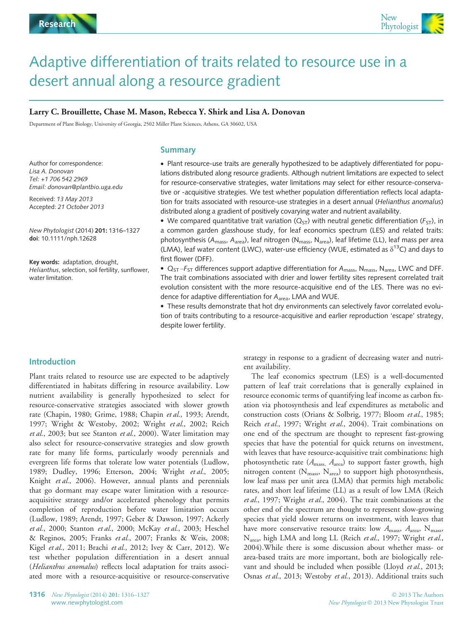

# Adaptive differentiation of traits related to resource use in a desert annual along a resource gradient

#### Larry C. Brouillette, Chase M. Mason, Rebecca Y. Shirk and Lisa A. Donovan

Department of Plant Biology, University of Georgia, 2502 Miller Plant Sciences, Athens, GA 30602, USA

#### **Summary**

Author for correspondence: Lisa A. Donovan Tel: +1 706 542 2969 Email: donovan@plantbio.uga.edu

Received: 13 May 2013 Accepted: 21 October 2013

New Phytologist (2014) 201: 1316–1327 doi: 10.1111/nph.12628

Key words: adaptation, drought, Helianthus, selection, soil fertility, sunflower, water limitation.

 Plant resource-use traits are generally hypothesized to be adaptively differentiated for populations distributed along resource gradients. Although nutrient limitations are expected to select for resource-conservative strategies, water limitations may select for either resource-conservative or -acquisitive strategies. We test whether population differentiation reflects local adaptation for traits associated with resource-use strategies in a desert annual (Helianthus anomalus) distributed along a gradient of positively covarying water and nutrient availability.

We compared quantitative trait variation ( $Q_{ST}$ ) with neutral genetic differentiation ( $F_{ST}$ ), in a common garden glasshouse study, for leaf economics spectrum (LES) and related traits: photosynthesis (A<sub>mass</sub>, A<sub>area</sub>), leaf nitrogen (N<sub>mass</sub>, N<sub>area</sub>), leaf lifetime (LL), leaf mass per area (LMA), leaf water content (LWC), water-use efficiency (WUE, estimated as  $\delta^{13}$ C) and days to first flower (DFF).

•  $Q_{ST} - F_{ST}$  differences support adaptive differentiation for  $A_{mass}$ ,  $N_{mass}$ ,  $N_{area}$ , LWC and DFF. The trait combinations associated with drier and lower fertility sites represent correlated trait evolution consistent with the more resource-acquisitive end of the LES. There was no evidence for adaptive differentiation for A<sub>area</sub>, LMA and WUE.

 These results demonstrate that hot dry environments can selectively favor correlated evolution of traits contributing to a resource-acquisitive and earlier reproduction 'escape' strategy, despite lower fertility.

#### Introduction

Plant traits related to resource use are expected to be adaptively differentiated in habitats differing in resource availability. Low nutrient availability is generally hypothesized to select for resource-conservative strategies associated with slower growth rate (Chapin, 1980; Grime, 1988; Chapin et al., 1993; Arendt, 1997; Wright & Westoby, 2002; Wright et al., 2002; Reich et al., 2003; but see Stanton et al., 2000). Water limitation may also select for resource-conservative strategies and slow growth rate for many life forms, particularly woody perennials and evergreen life forms that tolerate low water potentials (Ludlow, 1989; Dudley, 1996; Etterson, 2004; Wright et al., 2005; Knight et al., 2006). However, annual plants and perennials that go dormant may escape water limitation with a resourceacquisitive strategy and/or accelerated phenology that permits completion of reproduction before water limitation occurs (Ludlow, 1989; Arendt, 1997; Geber & Dawson, 1997; Ackerly et al., 2000; Stanton et al., 2000; McKay et al., 2003; Heschel & Reginos, 2005; Franks et al., 2007; Franks & Weis, 2008; Kigel et al., 2011; Brachi et al., 2012; Ivey & Carr, 2012). We test whether population differentiation in a desert annual (Helianthus anomalus) reflects local adaptation for traits associated more with a resource-acquisitive or resource-conservative

strategy in response to a gradient of decreasing water and nutrient availability.

The leaf economics spectrum (LES) is a well-documented pattern of leaf trait correlations that is generally explained in resource economic terms of quantifying leaf income as carbon fixation via photosynthesis and leaf expenditures as metabolic and construction costs (Orians & Solbrig, 1977; Bloom et al., 1985; Reich et al., 1997; Wright et al., 2004). Trait combinations on one end of the spectrum are thought to represent fast-growing species that have the potential for quick returns on investment, with leaves that have resource-acquisitive trait combinations: high photosynthetic rate  $(A_{\text{mass}}, A_{\text{area}})$  to support faster growth, high nitrogen content ( $N_{mass}$ ,  $N_{area}$ ) to support high photosynthesis, low leaf mass per unit area (LMA) that permits high metabolic rates, and short leaf lifetime (LL) as a result of low LMA (Reich et al., 1997; Wright et al., 2004). The trait combinations at the other end of the spectrum are thought to represent slow-growing species that yield slower returns on investment, with leaves that have more conservative resource traits: low  $A_{\text{mass}}$ ,  $A_{\text{area}}$ ,  $N_{\text{mass}}$ , N<sub>area</sub>, high LMA and long LL (Reich et al., 1997; Wright et al., 2004).While there is some discussion about whether mass- or area-based traits are more important, both are biologically relevant and should be included when possible (Lloyd et al., 2013; Osnas et al., 2013; Westoby et al., 2013). Additional traits such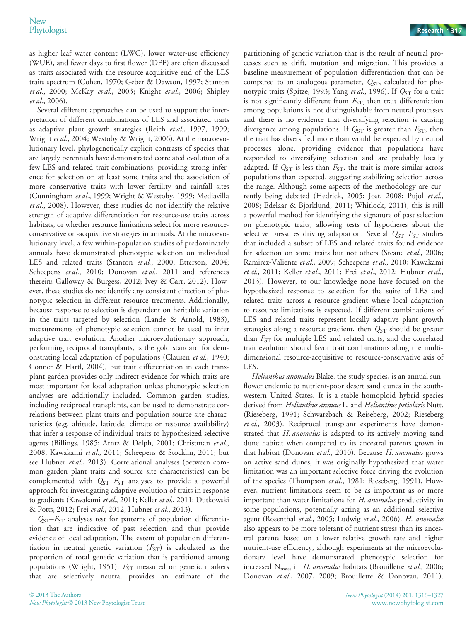as higher leaf water content (LWC), lower water-use efficiency (WUE), and fewer days to first flower (DFF) are often discussed as traits associated with the resource-acquisitive end of the LES traits spectrum (Cohen, 1970; Geber & Dawson, 1997; Stanton et al., 2000; McKay et al., 2003; Knight et al., 2006; Shipley et al., 2006).

Several different approaches can be used to support the interpretation of different combinations of LES and associated traits as adaptive plant growth strategies (Reich et al., 1997, 1999; Wright et al., 2004; Westoby & Wright, 2006). At the macroevolutionary level, phylogenetically explicit contrasts of species that are largely perennials have demonstrated correlated evolution of a few LES and related trait combinations, providing strong inference for selection on at least some traits and the association of more conservative traits with lower fertility and rainfall sites (Cunningham et al., 1999; Wright & Westoby, 1999; Mediavilla et al., 2008). However, these studies do not identify the relative strength of adaptive differentiation for resource-use traits across habitats, or whether resource limitations select for more resourceconservative or -acquisitive strategies in annuals. At the microevolutionary level, a few within-population studies of predominately annuals have demonstrated phenotypic selection on individual LES and related traits (Stanton et al., 2000; Etterson, 2004; Scheepens et al., 2010; Donovan et al., 2011 and references therein; Galloway & Burgess, 2012; Ivey & Carr, 2012). However, these studies do not identify any consistent direction of phenotypic selection in different resource treatments. Additionally, because response to selection is dependent on heritable variation in the traits targeted by selection (Lande & Arnold, 1983), measurements of phenotypic selection cannot be used to infer adaptive trait evolution. Another microevolutionary approach, performing reciprocal transplants, is the gold standard for demonstrating local adaptation of populations (Clausen et al., 1940; Conner & Hartl, 2004), but trait differentiation in each transplant garden provides only indirect evidence for which traits are most important for local adaptation unless phenotypic selection analyses are additionally included. Common garden studies, including reciprocal transplants, can be used to demonstrate correlations between plant traits and population source site characteristics (e.g. altitude, latitude, climate or resource availability) that infer a response of individual traits to hypothesized selective agents (Billings, 1985; Arntz & Delph, 2001; Christman et al., 2008; Kawakami et al., 2011; Scheepens & Stocklin, 2011; but see Hubner et al., 2013). Correlational analyses (between common garden plant traits and source site characteristics) can be complemented with  $Q_{ST} - F_{ST}$  analyses to provide a powerful approach for investigating adaptive evolution of traits in response to gradients (Kawakami et al., 2011; Keller et al., 2011; Dutkowski & Potts, 2012; Frei et al., 2012; Hubner et al., 2013).

 $Q<sub>ST</sub>–F<sub>ST</sub>$  analyses test for patterns of population differentiation that are indicative of past selection and thus provide evidence of local adaptation. The extent of population differentiation in neutral genetic variation  $(F_{ST})$  is calculated as the proportion of total genetic variation that is partitioned among populations (Wright, 1951).  $F_{ST}$  measured on genetic markers that are selectively neutral provides an estimate of the

partitioning of genetic variation that is the result of neutral processes such as drift, mutation and migration. This provides a baseline measurement of population differentiation that can be compared to an analogous parameter,  $Q_{ST}$ , calculated for phenotypic traits (Spitze, 1993; Yang et al., 1996). If  $Q_{ST}$  for a trait is not significantly different from  $F_{ST}$ , then trait differentiation among populations is not distinguishable from neutral processes and there is no evidence that diversifying selection is causing divergence among populations. If  $Q_{ST}$  is greater than  $F_{ST}$ , then the trait has diversified more than would be expected by neutral processes alone, providing evidence that populations have responded to diversifying selection and are probably locally adapted. If  $Q_{ST}$  is less than  $F_{ST}$ , the trait is more similar across populations than expected, suggesting stabilizing selection across the range. Although some aspects of the methodology are currently being debated (Hedrick, 2005; Jost, 2008; Pujol et al., 2008; Edelaar & Bjorklund, 2011; Whitlock, 2011), this is still a powerful method for identifying the signature of past selection on phenotypic traits, allowing tests of hypotheses about the selective pressures driving adaptation. Several  $Q_{ST}-F_{ST}$  studies that included a subset of LES and related traits found evidence for selection on some traits but not others (Steane et al., 2006; Ramirez-Valiente et al., 2009; Scheepens et al., 2010; Kawakami et al., 2011; Keller et al., 2011; Frei et al., 2012; Hubner et al., 2013). However, to our knowledge none have focused on the hypothesized response to selection for the suite of LES and related traits across a resource gradient where local adaptation to resource limitations is expected. If different combinations of LES and related traits represent locally adaptive plant growth strategies along a resource gradient, then  $Q_{ST}$  should be greater than  $F_{ST}$  for multiple LES and related traits, and the correlated trait evolution should favor trait combinations along the multidimensional resource-acquisitive to resource-conservative axis of LES.

Helianthus anomalus Blake, the study species, is an annual sunflower endemic to nutrient-poor desert sand dunes in the southwestern United States. It is a stable homoploid hybrid species derived from Helianthus annuus L. and Helianthus petiolaris Nutt. (Rieseberg, 1991; Schwarzbach & Reiseberg, 2002; Rieseberg et al., 2003). Reciprocal transplant experiments have demonstrated that H. anomalus is adapted to its actively moving sand dune habitat when compared to its ancestral parents grown in that habitat (Donovan et al., 2010). Because H. anomalus grows on active sand dunes, it was originally hypothesized that water limitation was an important selective force driving the evolution of the species (Thompson et al., 1981; Rieseberg, 1991). However, nutrient limitations seem to be as important as or more important than water limitations for H. anomalus productivity in some populations, potentially acting as an additional selective agent (Rosenthal et al., 2005; Ludwig et al., 2006). H. anomalus also appears to be more tolerant of nutrient stress than its ancestral parents based on a lower relative growth rate and higher nutrient-use efficiency, although experiments at the microevolutionary level have demonstrated phenotypic selection for increased  $N_{mass}$  in *H. anomalus* habitats (Brouillette et al., 2006; Donovan et al., 2007, 2009; Brouillette & Donovan, 2011).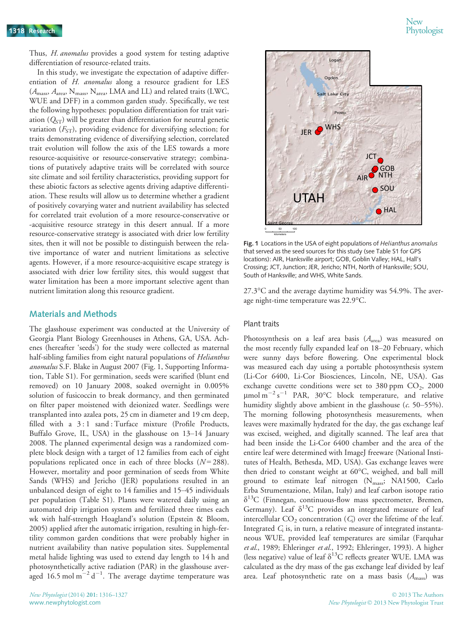1318 Research 1318 Phytologist

Thus, *H. anomalus* provides a good system for testing adaptive differentiation of resource-related traits.

In this study, we investigate the expectation of adaptive differentiation of H. anomalus along a resource gradient for LES  $(A_{\rm mass}, A_{\rm area}, N_{\rm mass}, N_{\rm area}, {\rm LMA}$  and LL) and related traits (LWC, WUE and DFF) in a common garden study. Specifically, we test the following hypotheses: population differentiation for trait variation  $(Q_{ST})$  will be greater than differentiation for neutral genetic variation  $(F_{ST})$ , providing evidence for diversifying selection; for traits demonstrating evidence of diversifying selection, correlated trait evolution will follow the axis of the LES towards a more resource-acquisitive or resource-conservative strategy; combinations of putatively adaptive traits will be correlated with source site climate and soil fertility characteristics, providing support for these abiotic factors as selective agents driving adaptive differentiation. These results will allow us to determine whether a gradient of positively covarying water and nutrient availability has selected for correlated trait evolution of a more resource-conservative or -acquisitive resource strategy in this desert annual. If a more resource-conservative strategy is associated with drier low fertility sites, then it will not be possible to distinguish between the relative importance of water and nutrient limitations as selective agents. However, if a more resource-acquisitive escape strategy is associated with drier low fertility sites, this would suggest that water limitation has been a more important selective agent than nutrient limitation along this resource gradient.

## Materials and Methods

The glasshouse experiment was conducted at the University of Georgia Plant Biology Greenhouses in Athens, GA, USA. Achenes (hereafter 'seeds') for the study were collected as maternal half-sibling families from eight natural populations of *Helianthus* anomalus S.F. Blake in August 2007 (Fig. 1, Supporting Information, Table S1). For germination, seeds were scarified (blunt end removed) on 10 January 2008, soaked overnight in 0.005% solution of fusicoccin to break dormancy, and then germinated on filter paper moistened with deionized water. Seedlings were transplanted into azalea pots, 25 cm in diameter and 19 cm deep, filled with a 3:1 sand: Turface mixture (Profile Products, Buffalo Grove, IL, USA) in the glasshouse on 13–14 January 2008. The planned experimental design was a randomized complete block design with a target of 12 families from each of eight populations replicated once in each of three blocks  $(N=288)$ . However, mortality and poor germination of seeds from White Sands (WHS) and Jericho (JER) populations resulted in an unbalanced design of eight to 14 families and 15–45 individuals per population (Table S1). Plants were watered daily using an automated drip irrigation system and fertilized three times each wk with half-strength Hoagland's solution (Epstein & Bloom, 2005) applied after the automatic irrigation, resulting in high-fertility common garden conditions that were probably higher in nutrient availability than native population sites. Supplemental metal halide lighting was used to extend day length to 14 h and photosynthetically active radiation (PAR) in the glasshouse averaged 16.5 mol  $m^{-2}d^{-1}$ . The average daytime temperature was



Fig. 1 Locations in the USA of eight populations of Helianthus anomalus that served as the seed sources for this study (see Table S1 for GPS locations): AIR, Hanksville airport; GOB, Goblin Valley; HAL, Hall's Crossing; JCT, Junction; JER, Jericho; NTH, North of Hanksville; SOU, South of Hanksville; and WHS, White Sands.

27.3°C and the average daytime humidity was 54.9%. The average night-time temperature was 22.9°C.

#### Plant traits

Photosynthesis on a leaf area basis  $(A<sub>area</sub>)$  was measured on the most recently fully expanded leaf on 18–20 February, which were sunny days before flowering. One experimental block was measured each day using a portable photosynthesis system (Li-Cor 6400, Li-Cor Biosciences, Lincoln, NE, USA). Gas exchange cuvette conditions were set to  $380$  ppm  $CO<sub>2</sub>$ ,  $2000$  $\mu$ mol m<sup>-2</sup> s<sup>-1</sup> PAR, 30°C block temperature, and relative humidity slightly above ambient in the glasshouse  $(c. 50-55%)$ . The morning following photosynthesis measurements, when leaves were maximally hydrated for the day, the gas exchange leaf was excised, weighed, and digitally scanned. The leaf area that had been inside the Li-Cor 6400 chamber and the area of the entire leaf were determined with ImageJ freeware (National Institutes of Health, Bethesda, MD, USA). Gas exchange leaves were then dried to constant weight at 60°C, weighed, and ball mill ground to estimate leaf nitrogen  $(N_{\text{mass}}; \text{ NA1500}, \text{ Carlo})$ Erba Strumentazione, Milan, Italy) and leaf carbon isotope ratio  $\delta^{13}$ C (Finnegan, continuous-flow mass spectrometer, Bremen, Germany). Leaf  $\delta^{13}C$  provides an integrated measure of leaf intercellular  $CO_2$  concentration  $(C_i)$  over the lifetime of the leaf. Integrated  $C_i$  is, in turn, a relative measure of integrated instantaneous WUE, provided leaf temperatures are similar (Farquhar et al., 1989; Ehleringer et al., 1992; Ehleringer, 1993). A higher (less negative) value of leaf  $\delta^{13}$ C reflects greater WUE. LMA was calculated as the dry mass of the gas exchange leaf divided by leaf area. Leaf photosynthetic rate on a mass basis  $(A_{\text{mass}})$  was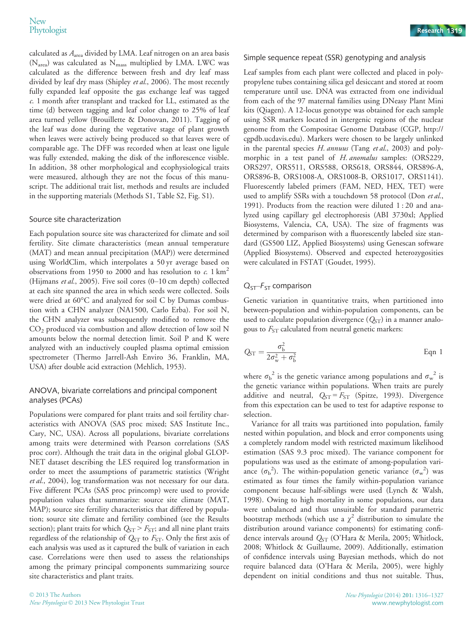calculated as  $A<sub>area</sub>$  divided by LMA. Leaf nitrogen on an area basis  $(N_{area})$  was calculated as  $N_{mass}$  multiplied by LMA. LWC was calculated as the difference between fresh and dry leaf mass divided by leaf dry mass (Shipley et al., 2006). The most recently fully expanded leaf opposite the gas exchange leaf was tagged c. 1 month after transplant and tracked for LL, estimated as the time (d) between tagging and leaf color change to 25% of leaf area turned yellow (Brouillette & Donovan, 2011). Tagging of the leaf was done during the vegetative stage of plant growth when leaves were actively being produced so that leaves were of comparable age. The DFF was recorded when at least one ligule was fully extended, making the disk of the inflorescence visible. In addition, 38 other morphological and ecophysiological traits were measured, although they are not the focus of this manuscript. The additional trait list, methods and results are included in the supporting materials (Methods S1, Table S2, Fig. S1).

#### Source site characterization

Each population source site was characterized for climate and soil fertility. Site climate characteristics (mean annual temperature (MAT) and mean annual precipitation (MAP)) were determined using WorldClim, which interpolates a 50 yr average based on observations from 1950 to 2000 and has resolution to c.  $1 \text{ km}^2$ (Hijmans et al., 2005). Five soil cores (0–10 cm depth) collected at each site spanned the area in which seeds were collected. Soils were dried at 60°C and analyzed for soil C by Dumas combustion with a CHN analyzer (NA1500, Carlo Erba). For soil N, the CHN analyzer was subsequently modified to remove the  $CO<sub>2</sub>$  produced via combustion and allow detection of low soil N amounts below the normal detection limit. Soil P and K were analyzed with an inductively coupled plasma optimal emission spectrometer (Thermo Jarrell-Ash Enviro 36, Franklin, MA, USA) after double acid extraction (Mehlich, 1953).

# ANOVA, bivariate correlations and principal component analyses (PCAs)

Populations were compared for plant traits and soil fertility characteristics with ANOVA (SAS proc mixed; SAS Institute Inc., Cary, NC, USA). Across all populations, bivariate correlations among traits were determined with Pearson correlations (SAS proc corr). Although the trait data in the original global GLOP-NET dataset describing the LES required log transformation in order to meet the assumptions of parametric statistics (Wright et al., 2004), log transformation was not necessary for our data. Five different PCAs (SAS proc princomp) were used to provide population values that summarize: source site climate (MAT, MAP); source site fertility characteristics that differed by population; source site climate and fertility combined (see the Results section); plant traits for which  $Q_{ST} > F_{ST}$ ; and all nine plant traits regardless of the relationship of  $Q_{ST}$  to  $F_{ST}$ . Only the first axis of each analysis was used as it captured the bulk of variation in each case. Correlations were then used to assess the relationships among the primary principal components summarizing source site characteristics and plant traits.

#### Simple sequence repeat (SSR) genotyping and analysis

Leaf samples from each plant were collected and placed in polypropylene tubes containing silica gel desiccant and stored at room temperature until use. DNA was extracted from one individual from each of the 97 maternal families using DNeasy Plant Mini kits (Qiagen). A 12-locus genotype was obtained for each sample using SSR markers located in intergenic regions of the nuclear genome from the Compositae Genome Database (CGP, http:// cgpdb.ucdavis.edu). Markers were chosen to be largely unlinked in the parental species H. annuus (Tang et al., 2003) and polymorphic in a test panel of H. anomalus samples: (ORS229, ORS297, ORS511, ORS588, ORS618, ORS844, ORS896-A, ORS896-B, ORS1008-A, ORS1008-B, ORS1017, ORS1141). Fluorescently labeled primers (FAM, NED, HEX, TET) were used to amplify SSRs with a touchdown 58 protocol (Don et al., 1991). Products from the reaction were diluted 1 : 20 and analyzed using capillary gel electrophoresis (ABI 3730xl; Applied Biosystems, Valencia, CA, USA). The size of fragments was determined by comparison with a fluorescently labeled size standard (GS500 LIZ, Applied Biosystems) using Genescan software (Applied Biosystems). Observed and expected heterozygosities were calculated in FSTAT (Goudet, 1995).

# $Q_{ST}$ – $F_{ST}$  comparison

Genetic variation in quantitative traits, when partitioned into between-population and within-population components, can be used to calculate population divergence  $(Q_{ST})$  in a manner analogous to  $F_{ST}$  calculated from neutral genetic markers:

$$
Q_{ST} = \frac{\sigma_b^2}{2\sigma_w^2 + \sigma_b^2}
$$
 Eqn 1

where  ${\sigma_b}^2$  is the genetic variance among populations and  ${\sigma_w}^2$  is the genetic variance within populations. When traits are purely additive and neutral,  $Q_{ST} = F_{ST}$  (Spitze, 1993). Divergence from this expectation can be used to test for adaptive response to selection.

Variance for all traits was partitioned into population, family nested within population, and block and error components using a completely random model with restricted maximum likelihood estimation (SAS 9.3 proc mixed). The variance component for populations was used as the estimate of among-population variance  $(\sigma_b^2)$ . The within-population genetic variance  $(\sigma_w^2)$  was estimated as four times the family within-population variance component because half-siblings were used (Lynch & Walsh, 1998). Owing to high mortality in some populations, our data were unbalanced and thus unsuitable for standard parametric bootstrap methods (which use a  $\chi^2$  distribution to simulate the distribution around variance components) for estimating confidence intervals around  $Q_{ST}$  (O'Hara & Merila, 2005; Whitlock, 2008; Whitlock & Guillaume, 2009). Additionally, estimation of confidence intervals using Bayesian methods, which do not require balanced data (O'Hara & Merila, 2005), were highly dependent on initial conditions and thus not suitable. Thus,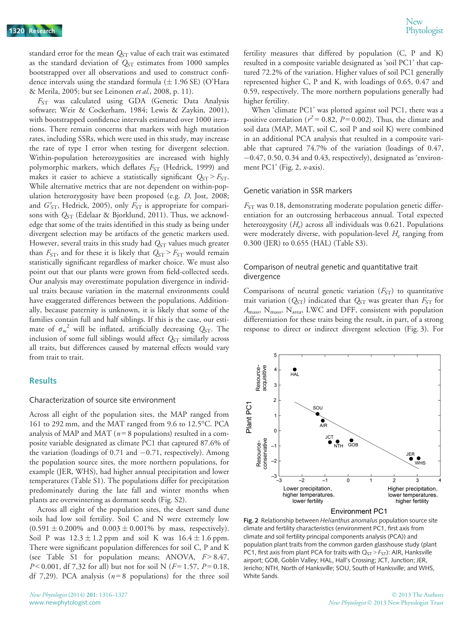standard error for the mean  $Q_{ST}$  value of each trait was estimated as the standard deviation of  $Q_{ST}$  estimates from 1000 samples bootstrapped over all observations and used to construct confidence intervals using the standard formula  $(\pm 1.96 \text{ SE})$  (O'Hara & Merila, 2005; but see Leinonen et al., 2008, p. 11).

 $F_{ST}$  was calculated using GDA (Genetic Data Analysis software; Weir & Cockerham, 1984; Lewis & Zaykin, 2001), with bootstrapped confidence intervals estimated over 1000 iterations. There remain concerns that markers with high mutation rates, including SSRs, which were used in this study, may increase the rate of type I error when testing for divergent selection. Within-population heterozygosities are increased with highly polymorphic markers, which deflates  $F_{ST}$  (Hedrick, 1999) and makes it easier to achieve a statistically significant  $Q_{ST} > F_{ST}$ . While alternative metrics that are not dependent on within-population heterozygosity have been proposed (e.g. D, Jost, 2008; and  $G'_{ST}$ , Hedrick, 2005), only  $F_{ST}$  is appropriate for comparisons with  $Q_{ST}$  (Edelaar & Bjorklund, 2011). Thus, we acknowledge that some of the traits identified in this study as being under divergent selection may be artifacts of the genetic markers used. However, several traits in this study had  $Q_{ST}$  values much greater than  $F_{ST}$ , and for these it is likely that  $Q_{ST} > F_{ST}$  would remain statistically significant regardless of marker choice. We must also point out that our plants were grown from field-collected seeds. Our analysis may overestimate population divergence in individual traits because variation in the maternal environments could have exaggerated differences between the populations. Additionally, because paternity is unknown, it is likely that some of the families contain full and half siblings. If this is the case, our estimate of  $\sigma_{\rm w}^2$  will be inflated, artificially decreasing  $Q_{\rm ST}$ . The inclusion of some full siblings would affect  $Q_{ST}$  similarly across all traits, but differences caused by maternal effects would vary from trait to trait.

#### Results

#### Characterization of source site environment

Across all eight of the population sites, the MAP ranged from 161 to 292 mm, and the MAT ranged from 9.6 to 12.5°C. PCA analysis of MAP and MAT ( $n = 8$  populations) resulted in a composite variable designated as climate PC1 that captured 87.6% of the variation (loadings of 0.71 and  $-0.71$ , respectively). Among the population source sites, the more northern populations, for example (JER, WHS), had higher annual precipitation and lower temperatures (Table S1). The populations differ for precipitation predominately during the late fall and winter months when plants are overwintering as dormant seeds (Fig. S2).

Across all eight of the population sites, the desert sand dune soils had low soil fertility. Soil C and N were extremely low  $(0.591 \pm 0.200\%$  and  $(0.003 \pm 0.001\%)$  by mass, respectively). Soil P was  $12.3 \pm 1.2$  ppm and soil K was  $16.4 \pm 1.6$  ppm. There were significant population differences for soil C, P and K (see Table S1 for population means; ANOVA,  $F > 8.47$ ,  $P < 0.001$ , df 7,32 for all) but not for soil N ( $F = 1.57$ ,  $P = 0.18$ , df 7,29). PCA analysis ( $n=8$  populations) for the three soil

fertility measures that differed by population (C, P and K) resulted in a composite variable designated as 'soil PC1' that captured 72.2% of the variation. Higher values of soil PC1 generally represented higher C, P and K, with loadings of 0.65, 0.47 and 0.59, respectively. The more northern populations generally had higher fertility.

When 'climate PC1' was plotted against soil PC1, there was a positive correlation ( $r^2 = 0.82$ ,  $P = 0.002$ ). Thus, the climate and soil data (MAP, MAT, soil C, soil P and soil K) were combined in an additional PCA analysis that resulted in a composite variable that captured 74.7% of the variation (loadings of 0.47,  $-0.47$ , 0.50, 0.34 and 0.43, respectively), designated as 'environment  $PC1'$  (Fig. 2, x-axis).

#### Genetic variation in SSR markers

 $F_{ST}$  was 0.18, demonstrating moderate population genetic differentiation for an outcrossing herbaceous annual. Total expected heterozygosity  $(H_e)$  across all individuals was 0.621. Populations were moderately diverse, with population-level  $H_{\rm e}$  ranging from 0.300 (JER) to 0.655 (HAL) (Table S3).

#### Comparison of neutral genetic and quantitative trait divergence

Comparisons of neutral genetic variation  $(F_{ST})$  to quantitative trait variation ( $Q_{ST}$ ) indicated that  $Q_{ST}$  was greater than  $F_{ST}$  for  $A_{\text{mass}}$ , N<sub>mass</sub>, N<sub>area</sub>, LWC and DFF, consistent with population differentiation for these traits being the result, in part, of a strong response to direct or indirect divergent selection (Fig. 3). For



Fig. 2 Relationship between Helianthus anomalus population source site climate and fertility characteristics (environment PC1, first axis from climate and soil fertility principal components analysis (PCA)) and population plant traits from the common garden glasshouse study (plant PC1, first axis from plant PCA for traits with  $Q_{ST} > F_{ST}$ ): AIR, Hanksville airport; GOB, Goblin Valley; HAL, Hall's Crossing; JCT, Junction; JER, Jericho; NTH, North of Hanksville; SOU, South of Hanksville; and WHS, White Sands.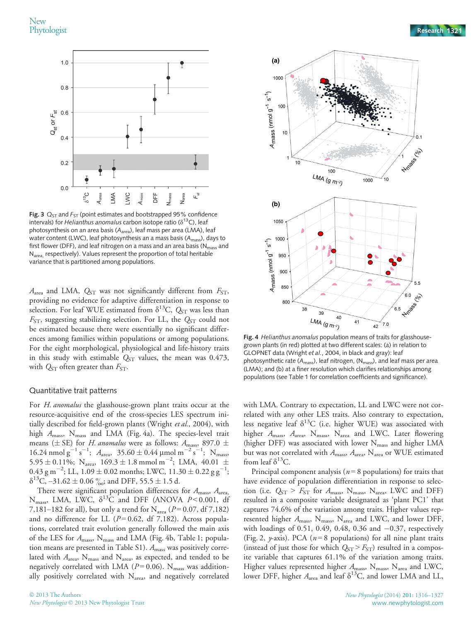

Fig. 3  $Q_{ST}$  and  $F_{ST}$  (point estimates and bootstrapped 95% confidence intervals) for *Helianthus anomalus* carbon isotope ratio ( $\delta^{13}$ C), leaf photosynthesis on an area basis (A<sub>area</sub>), leaf mass per area (LMA), leaf water content (LWC), leaf photosynthesis an a mass basis ( $A<sub>mass</sub>$ ), days to first flower (DFF), and leaf nitrogen on a mass and an area basis (N<sub>mass</sub> and N<sub>area,</sub> respectively). Values represent the proportion of total heritable variance that is partitioned among populations.

 $A_{\text{area}}$  and LMA,  $Q_{\text{ST}}$  was not significantly different from  $F_{\text{ST}}$ , providing no evidence for adaptive differentiation in response to selection. For leaf WUE estimated from  $\delta^{13}C$ ,  $Q_{ST}$  was less than  $F_{ST}$ , suggesting stabilizing selection. For LL, the  $Q_{ST}$  could not be estimated because there were essentially no significant differences among families within populations or among populations. For the eight morphological, physiological and life-history traits in this study with estimable  $Q_{ST}$  values, the mean was 0.473, with  $Q_{ST}$  often greater than  $F_{ST}$ .

#### Quantitative trait patterns

For *H. anomalus* the glasshouse-grown plant traits occur at the resource-acquisitive end of the cross-species LES spectrum initially described for field-grown plants (Wright et al., 2004), with high  $A_{\text{mass}}$ , N<sub>mass</sub> and LMA (Fig. 4a). The species-level trait means ( $\pm$  SE) for *H. anomalus* were as follows:  $A_{\text{mass}}$ , 897.0  $\pm$ 16.24 nmol  $g^{-1} s^{-1}$ ;  $A_{area}$ , 35.60  $\pm$  0.44  $\mu$ mol m<sup>-2</sup> s<sup>-1</sup>; N<sub>mass</sub>,  $5.95 \pm 0.11\%$ ; N<sub>area</sub>,  $169.3 \pm 1.8$  mmol m<sup>-2</sup>; LMA,  $40.01 \pm 1.8$  $0.43 \text{ g m}^{-2}$ ; LL,  $1.09 \pm 0.02$  months; LWC,  $11.30 \pm 0.22 \text{ g g}^{-1}$ ;  $\delta^{13}$ C,  $-31.62 \pm 0.06 \frac{\omega}{\omega_0}$ ; and DFF, 55.5  $\pm$  1.5 d.

There were significant population differences for  $A_{\text{mass}}$ ,  $A_{\text{area}}$ , N<sub>mass</sub>, LMA, LWC,  $\delta^{13}$ C and DFF (ANOVA P < 0.001, df 7,181–182 for all), but only a trend for  $N_{area}$  ( $P = 0.07$ , df 7,182) and no difference for LL ( $P = 0.62$ , df 7,182). Across populations, correlated trait evolution generally followed the main axis of the LES for  $A_{\text{mass}}$ , N<sub>mass</sub> and LMA (Fig. 4b, Table 1; population means are presented in Table S1). Amass was positively correlated with  $A_{\text{area}}$ , N<sub>mass</sub> and N<sub>area</sub>, as expected, and tended to be negatively correlated with LMA ( $P = 0.06$ ). N<sub>mass</sub> was additionally positively correlated with  $N_{area}$ , and negatively correlated



Fig. 4 Helianthus anomalus population means of traits for glasshousegrown plants (in red) plotted at two different scales: (a) in relation to GLOPNET data (Wright et al., 2004, in black and gray): leaf photosynthetic rate ( $A_{\text{mass}}$ ), leaf nitrogen, ( $N_{\text{mass}}$ ), and leaf mass per area (LMA); and (b) at a finer resolution which clarifies relationships among populations (see Table 1 for correlation coefficients and significance).

 $41$ 

 $7.0$  $42$ 

with LMA. Contrary to expectation, LL and LWC were not correlated with any other LES traits. Also contrary to expectation, less negative leaf  $\delta^{13}$ C (i.e. higher WUE) was associated with higher  $A_{\text{mass}}$ ,  $A_{\text{area}}$ ,  $N_{\text{mass}}$ ,  $N_{\text{area}}$  and LWC. Later flowering (higher DFF) was associated with lower  $N_{\text{mass}}$  and higher LMA but was not correlated with  $A_{\text{mass}}$ ,  $A_{\text{area}}$ ,  $N_{\text{area}}$  or WUE estimated from leaf  $\delta^{13}$ C.

Principal component analysis ( $n = 8$  populations) for traits that have evidence of population differentiation in response to selection (i.e.  $Q_{ST} > F_{ST}$  for  $A_{mass}$ ,  $N_{mass}$ ,  $N_{area}$ , LWC and DFF) resulted in a composite variable designated as 'plant PC1' that captures 74.6% of the variation among traits. Higher values represented higher  $A_{\text{mass}}$ ,  $N_{\text{mass}}$ ,  $N_{\text{area}}$  and LWC, and lower DFF, with loadings of 0.51, 0.49, 0.48, 0.36 and  $-0.37$ , respectively (Fig. 2,  $\nu$ -axis). PCA ( $n = 8$  populations) for all nine plant traits (instead of just those for which  $Q_{ST} > F_{ST}$ ) resulted in a composite variable that captures 61.1% of the variation among traits. Higher values represented higher  $A_{\text{mass}}$ ,  $N_{\text{mass}}$ ,  $N_{\text{area}}$  and LWC, lower DFF, higher  $A_{\text{area}}$  and leaf  $\delta^{13}$ C, and lower LMA and LL,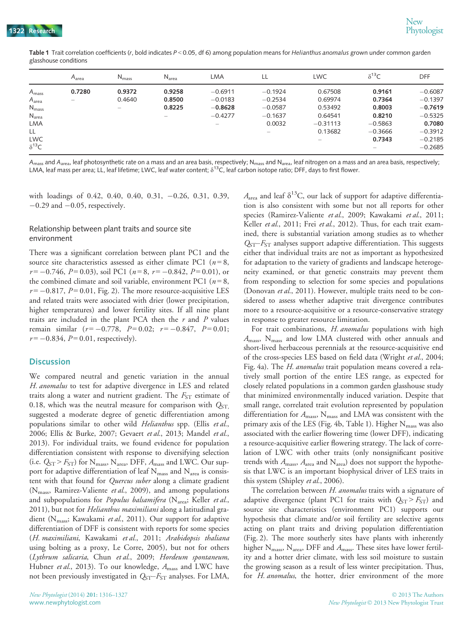Table 1 Trait correlation coefficients (r, bold indicates P < 0.05, df 6) among population means for Helianthus anomalus grown under common garden glasshouse conditions

|                   | A <sub>area</sub>        | $N_{mass}$               | $N_{area}$                                                                | LMA                      | LL        | <b>LWC</b>                                                                | $\delta^{13}C$ | <b>DFF</b> |
|-------------------|--------------------------|--------------------------|---------------------------------------------------------------------------|--------------------------|-----------|---------------------------------------------------------------------------|----------------|------------|
| $A_{\text{mass}}$ | 0.7280                   | 0.9372                   | 0.9258                                                                    | $-0.6911$                | $-0.1924$ | 0.67508                                                                   | 0.9161         | $-0.6087$  |
| A <sub>area</sub> | $\overline{\phantom{a}}$ | 0.4640                   | 0.8500                                                                    | $-0.0183$                | $-0.2534$ | 0.69974                                                                   | 0.7364         | $-0.1397$  |
| N <sub>mass</sub> |                          | $\overline{\phantom{a}}$ | 0.8225                                                                    | $-0.8628$                | $-0.0587$ | 0.53492                                                                   | 0.8003         | $-0.7619$  |
| $N_{area}$        |                          |                          | $\hspace{1.0cm} \rule{1.5cm}{0.15cm} \hspace{1.0cm} \rule{1.5cm}{0.15cm}$ | $-0.4277$                | $-0.1637$ | 0.64541                                                                   | 0.8210         | $-0.5325$  |
| <b>LMA</b>        |                          |                          |                                                                           | $\overline{\phantom{a}}$ | 0.0032    | $-0.31113$                                                                | $-0.5863$      | 0.7080     |
| LL.               |                          |                          |                                                                           |                          |           | 0.13682                                                                   | $-0.3666$      | $-0.3912$  |
| <b>LWC</b>        |                          |                          |                                                                           |                          |           | $\hspace{1.0cm} \rule{1.5cm}{0.15cm} \hspace{1.0cm} \rule{1.5cm}{0.15cm}$ | 0.7343         | $-0.2185$  |
| $\delta^{13}C$    |                          |                          |                                                                           |                          |           |                                                                           |                | $-0.2685$  |

 $A_{\text{mass}}$  and  $A_{\text{area}}$ , leaf photosynthetic rate on a mass and an area basis, respectively; N<sub>mass</sub> and N<sub>area</sub>, leaf nitrogen on a mass and an area basis, respectively; LMA, leaf mass per area; LL, leaf lifetime; LWC, leaf water content;  $\delta^{13}$ C, leaf carbon isotope ratio; DFF, days to first flower.

with loadings of 0.42, 0.40, 0.40, 0.31, 0.26, 0.31, 0.39,  $-0.29$  and  $-0.05$ , respectively.

#### Relationship between plant traits and source site environment

There was a significant correlation between plant PC1 and the source site characteristics assessed as either climate PC1 ( $n = 8$ ,  $r = -0.746$ ,  $P = 0.03$ ), soil PC1 ( $n = 8$ ,  $r = -0.842$ ,  $P = 0.01$ ), or the combined climate and soil variable, environment PC1 ( $n = 8$ ,  $r = -0.817$ ,  $P = 0.01$ , Fig. 2). The more resource-acquisitive LES and related traits were associated with drier (lower precipitation, higher temperatures) and lower fertility sites. If all nine plant traits are included in the plant PCA then the  $r$  and  $P$  values remain similar  $(r = -0.778, P = 0.02; r = -0.847, P = 0.01;$  $r = -0.834$ ,  $P = 0.01$ , respectively).

#### **Discussion**

We compared neutral and genetic variation in the annual H. anomalus to test for adaptive divergence in LES and related traits along a water and nutrient gradient. The  $F_{ST}$  estimate of 0.18, which was the neutral measure for comparison with  $Q_{ST}$ , suggested a moderate degree of genetic differentiation among populations similar to other wild *Helianthus* spp. (Ellis et al., 2006; Ellis & Burke, 2007; Gevaert et al., 2013; Mandel et al., 2013). For individual traits, we found evidence for population differentiation consistent with response to diversifying selection (i.e.  $Q_{ST} > F_{ST}$ ) for  $N_{mass}$ ,  $N_{area}$ , DFF,  $A_{mass}$  and LWC. Our support for adaptive differentiation of leaf  $N_{\rm mass}$  and  $N_{\rm area}$  is consistent with that found for *Quercus suber* along a climate gradient ( $N_{mass}$ , Ramirez-Valiente *et al.*, 2009), and among populations and subpopulations for *Populus balsamifera* ( $N_{area}$ ; Keller et al., 2011), but not for Helianthus maximiliani along a latitudinal gradient ( $N<sub>mass</sub>$ ; Kawakami *et al.*, 2011). Our support for adaptive differentiation of DFF is consistent with reports for some species (H. maximiliani, Kawakami et al., 2011; Arabidopsis thaliana using bolting as a proxy, Le Corre, 2005), but not for others (Lythrum salicaria, Chun et al., 2009; Hordeum spontaneum, Hubner et al., 2013). To our knowledge,  $A_{\text{mass}}$  and LWC have not been previously investigated in  $Q_{ST} - F_{ST}$  analyses. For LMA,

 $A<sub>area</sub>$  and leaf  $\delta^{13}C$ , our lack of support for adaptive differentiation is also consistent with some but not all reports for other species (Ramirez-Valiente et al., 2009; Kawakami et al., 2011; Keller et al., 2011; Frei et al., 2012). Thus, for each trait examined, there is substantial variation among studies as to whether  $Q_{ST}$ – $F_{ST}$  analyses support adaptive differentiation. This suggests either that individual traits are not as important as hypothesized for adaptation to the variety of gradients and landscape heterogeneity examined, or that genetic constraits may prevent them from responding to selection for some species and populations (Donovan et al., 2011). However, multiple traits need to be considered to assess whether adaptive trait divergence contributes more to a resource-acquisitive or a resource-conservative strategy in response to greater resource limitation.

For trait combinations, *H. anomalus* populations with high  $A_{\text{mass}}$ , N<sub>mass</sub> and low LMA clustered with other annuals and short-lived herbaceous perennials at the resource-acquisitive end of the cross-species LES based on field data (Wright et al., 2004; Fig. 4a). The *H. anomalus* trait population means covered a relatively small portion of the entire LES range, as expected for closely related populations in a common garden glasshouse study that minimized environmentally induced variation. Despite that small range, correlated trait evolution represented by population differentiation for  $A_{\text{mass}}$ ,  $N_{\text{mass}}$  and LMA was consistent with the primary axis of the LES (Fig. 4b, Table 1). Higher  $N_{\text{mass}}$  was also associated with the earlier flowering time (lower DFF), indicating a resource-acquisitive earlier flowering strategy. The lack of correlation of LWC with other traits (only nonsignificant positive trends with  $A_{\text{mass}}$ ,  $A_{\text{area}}$  and  $N_{\text{area}}$ ) does not support the hypothesis that LWC is an important biophysical driver of LES traits in this system (Shipley et al., 2006).

The correlation between H. anomalus traits with a signature of adaptive divergence (plant PC1 for traits with  $Q_{ST} > F_{ST}$ ) and source site characteristics (environment PC1) supports our hypothesis that climate and/or soil fertility are selective agents acting on plant traits and driving population differentiation (Fig. 2). The more southerly sites have plants with inherently higher  $N_{mass}$ ,  $N_{area}$ , DFF and  $A_{mass}$ . These sites have lower fertility and a hotter drier climate, with less soil moisture to sustain the growing season as a result of less winter precipitation. Thus, for *H. anomalus*, the hotter, drier environment of the more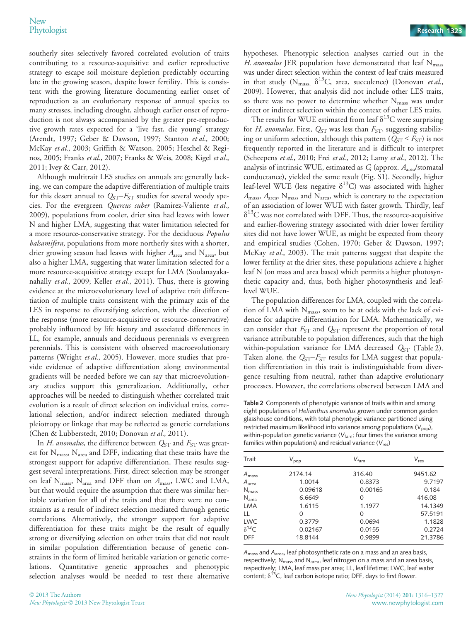southerly sites selectively favored correlated evolution of traits contributing to a resource-acquisitive and earlier reproductive strategy to escape soil moisture depletion predictably occurring late in the growing season, despite lower fertility. This is consistent with the growing literature documenting earlier onset of reproduction as an evolutionary response of annual species to many stresses, including drought, although earlier onset of reproduction is not always accompanied by the greater pre-reproductive growth rates expected for a 'live fast, die young' strategy (Arendt, 1997; Geber & Dawson, 1997; Stanton et al., 2000; McKay et al., 2003; Griffith & Watson, 2005; Heschel & Reginos, 2005; Franks et al., 2007; Franks & Weis, 2008; Kigel et al., 2011; Ivey & Carr, 2012).

Although multitrait LES studies on annuals are generally lacking, we can compare the adaptive differentiation of multiple traits for this desert annual to  $Q_{ST}$ – $F_{ST}$  studies for several woody species. For the evergreen Quercus suber (Ramirez-Valiente et al., 2009), populations from cooler, drier sites had leaves with lower N and higher LMA, suggesting that water limitation selected for a more resource-conservative strategy. For the deciduous Populus balsamifera, populations from more northerly sites with a shorter, drier growing season had leaves with higher  $A_{\text{area}}$  and  $N_{\text{area}}$ , but also a higher LMA, suggesting that water limitation selected for a more resource-acquisitive strategy except for LMA (Soolanayakanahally et al., 2009; Keller et al., 2011). Thus, there is growing evidence at the microevolutionary level of adaptive trait differentiation of multiple traits consistent with the primary axis of the LES in response to diversifying selection, with the direction of the response (more resource-acquisitive or resource-conservative) probably influenced by life history and associated differences in LL, for example, annuals and deciduous perennials vs evergreen perennials. This is consistent with observed macroevolutionary patterns (Wright et al., 2005). However, more studies that provide evidence of adaptive differentiation along environmental gradients will be needed before we can say that microevolutionary studies support this generalization. Additionally, other approaches will be needed to distinguish whether correlated trait evolution is a result of direct selection on individual traits, correlational selection, and/or indirect selection mediated through pleiotropy or linkage that may be reflected as genetic correlations (Chen & Lubberstedt, 2010; Donovan et al., 2011).

In *H. anomalus*, the difference between  $Q_{ST}$  and  $F_{ST}$  was greatest for N<sub>mass</sub>, N<sub>area</sub> and DFF, indicating that these traits have the strongest support for adaptive differentiation. These results suggest several interpretations. First, direct selection may be stronger on leaf  $N_{mass}$ ,  $N_{area}$  and DFF than on  $A_{mass}$ , LWC and LMA, but that would require the assumption that there was similar heritable variation for all of the traits and that there were no constraints as a result of indirect selection mediated through genetic correlations. Alternatively, the stronger support for adaptive differentiation for these traits might be the result of equally strong or diversifying selection on other traits that did not result in similar population differentiation because of genetic constraints in the form of limited heritable variation or genetic correlations. Quantitative genetic approaches and phenotypic selection analyses would be needed to test these alternative

hypotheses. Phenotypic selection analyses carried out in the H. anomalus JER population have demonstrated that leaf  $N_{\rm mass}$ was under direct selection within the context of leaf traits measured in that study ( $N_{\text{mass}}$ ,  $\delta^{13}C$ , area, succulence) (Donovan et al., 2009). However, that analysis did not include other LES traits, so there was no power to determine whether  $N_{\text{mass}}$  was under direct or indirect selection within the context of other LES traits.

The results for WUE estimated from leaf  $\delta^{13}$ C were surprising for H. anomalus. First,  $Q_{ST}$  was less than  $F_{ST}$ , suggesting stabilizing or uniform selection, although this pattern ( $Q_{ST} < F_{ST}$ ) is not frequently reported in the literature and is difficult to interpret (Scheepens et al., 2010; Frei et al., 2012; Lamy et al., 2012). The analysis of intrinsic WUE, estimated as  $C_i$  (approx.  $A_{area}$ /stomatal conductance), yielded the same result (Fig. S1). Secondly, higher leaf-level WUE (less negative  $\delta^{13}$ C) was associated with higher  $A_{\text{mass}}$ ,  $A_{\text{area}}$ ,  $N_{\text{mass}}$  and  $N_{\text{area}}$ , which is contrary to the expectation of an association of lower WUE with faster growth. Thirdly, leaf  $\delta^{13}$ C was not correlated with DFF. Thus, the resource-acquisitive and earlier-flowering strategy associated with drier lower fertility sites did not have lower WUE, as might be expected from theory and empirical studies (Cohen, 1970; Geber & Dawson, 1997; McKay et al., 2003). The trait patterns suggest that despite the lower fertility at the drier sites, these populations achieve a higher leaf N (on mass and area bases) which permits a higher photosynthetic capacity and, thus, both higher photosynthesis and leaflevel WUE.

The population differences for LMA, coupled with the correlation of LMA with  $N_{mass}$ , seem to be at odds with the lack of evidence for adaptive differentiation for LMA. Mathematically, we can consider that  $F_{ST}$  and  $Q_{ST}$  represent the proportion of total variance attributable to population differences, such that the high within-population variance for LMA decreased  $Q_{ST}$  (Table 2). Taken alone, the  $Q_{ST} - F_{ST}$  results for LMA suggest that population differentiation in this trait is indistinguishable from divergence resulting from neutral, rather than adaptive evolutionary processes. However, the correlations observed between LMA and

Table 2 Components of phenotypic variance of traits within and among eight populations of Helianthus anomalus grown under common garden glasshouse conditions, with total phenotypic variance partitioned using restricted maximum likelihood into variance among populations ( $V_{\text{pop}}$ ), within-population genetic variance ( $V_{\text{fam}}$ ; four times the variance among families within populations) and residual variance ( $V_{res}$ )

| Trait             | $\rm V_{pop}$ | V <sub>fam</sub> | $V_{res}$ |
|-------------------|---------------|------------------|-----------|
| $A_{mass}$        | 2174.14       | 316.40           | 9451.62   |
| A <sub>area</sub> | 1.0014        | 0.8373           | 9.7197    |
| $N_{mass}$        | 0.09618       | 0.00165          | 0.184     |
| $N_{area}$        | 6.6649        | 0                | 416.08    |
| <b>LMA</b>        | 1.6115        | 1.1977           | 14.1349   |
| LL                | 0             | 0                | 57.5191   |
| <b>LWC</b>        | 0.3779        | 0.0694           | 1.1828    |
| $\delta^{13}C$    | 0.02167       | 0.0155           | 0.2724    |
| <b>DFF</b>        | 18.8144       | 0.9899           | 21.3786   |
|                   |               |                  |           |

A<sub>mass</sub> and A<sub>area</sub>, leaf photosynthetic rate on a mass and an area basis, respectively;  $N_{\rm mass}$  and  $N_{\rm area}$ , leaf nitrogen on a mass and an area basis, respectively; LMA, leaf mass per area; LL, leaf lifetime; LWC, leaf water content;  $\delta^{13}$ C, leaf carbon isotope ratio; DFF, days to first flower.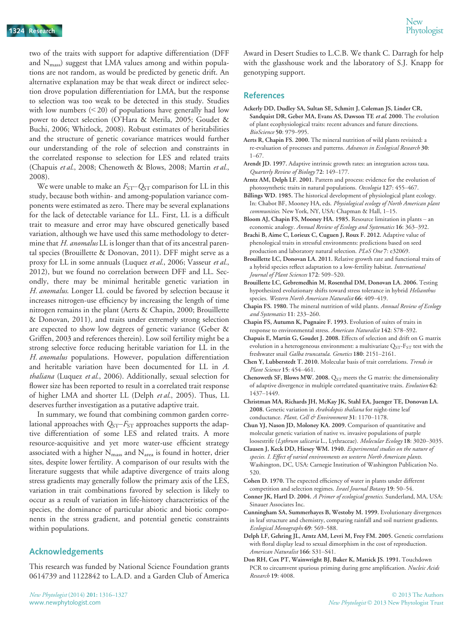two of the traits with support for adaptive differentiation (DFF and N<sub>mass</sub>) suggest that LMA values among and within populations are not random, as would be predicted by genetic drift. An alternative explanation may be that weak direct or indirect selection drove population differentiation for LMA, but the response to selection was too weak to be detected in this study. Studies with low numbers  $($  < 20) of populations have generally had low power to detect selection (O'Hara & Merila, 2005; Goudet & Buchi, 2006; Whitlock, 2008). Robust estimates of heritabilities and the structure of genetic covariance matrices would further our understanding of the role of selection and constraints in the correlated response to selection for LES and related traits (Chapuis et al., 2008; Chenoweth & Blows, 2008; Martin et al., 2008).

We were unable to make an  $F_{ST}-Q_{ST}$  comparison for LL in this study, because both within- and among-population variance components were estimated as zero. There may be several explanations for the lack of detectable variance for LL. First, LL is a difficult trait to measure and error may have obscured genetically based variation, although we have used this same methodology to determine that H. anomalus LL is longer than that of its ancestral parental species (Brouillette & Donovan, 2011). DFF might serve as a proxy for LL in some annuals (Luquez et al., 2006; Vasseur et al., 2012), but we found no correlation between DFF and LL. Secondly, there may be minimal heritable genetic variation in H. anomalus. Longer LL could be favored by selection because it increases nitrogen-use efficiency by increasing the length of time nitrogen remains in the plant (Aerts & Chapin, 2000; Brouillette & Donovan, 2011), and traits under extremely strong selection are expected to show low degrees of genetic variance (Geber & Griffen, 2003 and references therein). Low soil fertility might be a strong selective force reducing heritable variation for LL in the H. anomalus populations. However, population differentiation and heritable variation have been documented for LL in A. thaliana (Luquez et al., 2006). Additionally, sexual selection for flower size has been reported to result in a correlated trait response of higher LMA and shorter LL (Delph et al., 2005). Thus, LL deserves further investigation as a putative adaptive trait.

In summary, we found that combining common garden correlational approaches with  $Q_{ST} - F_{ST}$  approaches supports the adaptive differentiation of some LES and related traits. A more resource-acquisitive and yet more water-use efficient strategy associated with a higher  $N_{\text{mass}}$  and  $N_{\text{area}}$  is found in hotter, drier sites, despite lower fertility. A comparison of our results with the literature suggests that while adaptive divergence of traits along stress gradients may generally follow the primary axis of the LES, variation in trait combinations favored by selection is likely to occur as a result of variation in life-history characteristics of the species, the dominance of particular abiotic and biotic components in the stress gradient, and potential genetic constraints within populations.

## Acknowledgements

This research was funded by National Science Foundation grants 0614739 and 1122842 to L.A.D. and a Garden Club of America

Award in Desert Studies to L.C.B. We thank C. Darragh for help with the glasshouse work and the laboratory of S.J. Knapp for genotyping support.

#### **References**

- Ackerly DD, Dudley SA, Sultan SE, Schmitt J, Coleman JS, Linder CR, Sandquist DR, Geber MA, Evans AS, Dawson TE et al. 2000. The evolution of plant ecophysiological traits: recent advances and future directions. BioScience 50: 979–995.
- Aerts R, Chapin FS. 2000. The mineral nutrition of wild plants revisited: a re-evaluation of processes and patterns. Advances in Ecological Research 30: 1–67.
- Arendt JD. 1997. Adaptive intrinsic growth rates: an integration across taxa. Quarterly Review of Biology 72: 149–177.
- Arntz AM, Delph LF. 2001. Pattern and process: evidence for the evolution of photosynthetic traits in natural populations. Oecologia 127: 455–467.
- Billings WD. 1985. The historical development of physiological plant ecology. In: Chabot BF, Mooney HA, eds. Physiological ecology of North American plant communities. New York, NY, USA: Chapman & Hall, 1-15.
- Bloom AJ, Chapin FS, Mooney HA. 1985. Resource limitation in plants an economic analogy. Annual Review of Ecology and Systematics 16: 363-392.
- Brachi B, Aime C, Lorieux C, Cuguen J, Roux F. 2012. Adaptive value of phenological traits in stressful environments: predictions based on seed production and laboratory natural selection. PLoS One 7: e32069.
- Brouillette LC, Donovan LA. 2011. Relative growth rate and functional traits of a hybrid species reflect adaptation to a low-fertility habitat. International Journal of Plant Sciences 172: 509–520.
- Brouillette LC, Gebremedhin M, Rosenthal DM, Donovan LA. 2006. Testing hypothesized evolutionary shifts toward stress tolerance in hybrid Helianthus species. Western North American Naturalist 66: 409-419.
- Chapin FS. 1980. The mineral nutrition of wild plants. Annual Review of Ecology and Systematics 11: 233–260.
- Chapin FS, Autumn K, Pugnaire F. 1993. Evolution of suites of traits in response to environmental stress. American Naturalist 142: S78–S92.
- Chapuis E, Martin G, Goudet J. 2008. Effects of selection and drift on G matrix evolution in a heterogeneous environment: a multivariate  $Q_{ST}$ - $F_{ST}$  test with the freshwater snail Galba truncatula. Genetics 180: 2151–2161.
- Chen Y, Lubberstedt T. 2010. Molecular basis of trait correlations. Trends in Plant Science 15: 454–461.
- Chenoweth SF, Blows MW. 2008.  $Q_{ST}$  meets the G matrix: the dimensionality of adaptive divergence in multiple correlated quantitative traits. Evolution 62: 1437–1449.
- Christman MA, Richards JH, McKay JK, Stahl EA, Juenger TE, Donovan LA. 2008. Genetic variation in Arabidopsis thaliana for night-time leaf conductance. Plant, Cell & Environment 31: 1170-1178.
- Chun YJ, Nason JD, Moloney KA. 2009. Comparison of quantitative and molecular genetic variation of native vs. invasive populations of purple loosestrife (Lythrum salicaria L., Lythraceae). Molecular Ecology 18: 3020-3035.
- Clausen J, Keck DD, Hiesey WM. 1940. Experimental studies on the nature of species. I. Effect of varied environments on western North American plants. Washington, DC, USA: Carnegie Institution of Washington Publication No. 520.
- Cohen D. 1970. The expected efficiency of water in plants under different competition and selection regimes. Israel Journal Botany 19: 50-54.
- Conner JK, Hartl D. 2004. A Primer of ecological genetics. Sunderland, MA, USA: Sinauer Associates Inc.
- Cunningham SA, Summerhayes B, Westoby M. 1999. Evolutionary divergences in leaf structure and chemistry, comparing rainfall and soil nutrient gradients. Ecological Monographs 69: 569–588.
- Delph LF, Gehring JL, Arntz AM, Levri M, Frey FM. 2005. Genetic correlations with floral display lead to sexual dimorphism in the cost of reproduction. American Naturalist 166: S31–S41.
- Don RH, Cox PT, Wainwright BJ, Baker K, Mattick JS. 1991. Touchdown PCR to circumvent spurious priming during gene amplification. Nucleic Acids Research 19: 4008.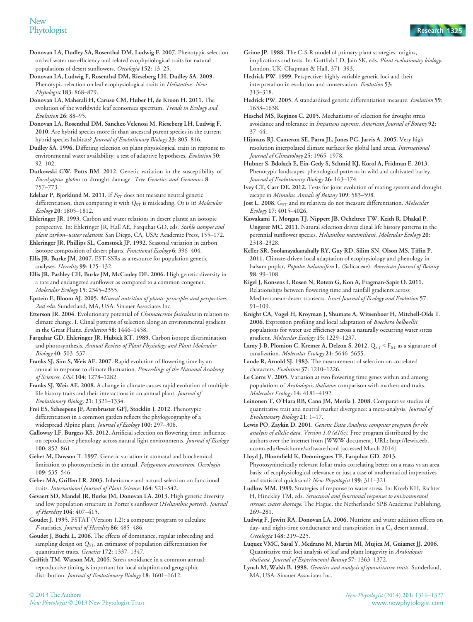Donovan LA, Dudley SA, Rosenthal DM, Ludwig F. 2007. Phenotypic selection on leaf water use efficiency and related ecophysiological traits for natural populations of desert sunflowers. Oecologia 152: 13–25.

Donovan LA, Ludwig F, Rosenthal DM, Rieseberg LH, Dudley SA. 2009. Phenotypic selection on leaf ecophysiological traits in Helianthus. New Phytologist 183: 868–879.

Donovan LA, Maherali H, Caruso CM, Huber H, de Kroon H. 2011. The evolution of the worldwide leaf economics spectrum. Trends in Ecology and Evolution 26: 88–95.

Donovan LA, Rosenthal DM, Sanchez-Velenosi M, Rieseberg LH, Ludwig F. 2010. Are hybrid species more fit than ancestral parent species in the current hybrid species habitats? Journal of Evolutionary Biology 23: 805–816.

Dudley SA. 1996. Differing selection on plant physiological traits in response to environmental water availability: a test of adaptive hypotheses. Evolution 50: 92–102.

Dutkowski GW, Potts BM. 2012. Genetic variation in the susceptibility of Eucalyaptus globus to drought damage. Tree Genetics and Genomics 8: 757–773.

Edelaar P, Bjorklund M. 2011. If  $F_{ST}$  does not measure neutral genetic differentiation, then comparing it with  $Q_{ST}$  is misleading. Or is it? Molecular Ecology 20: 1805–1812.

Ehleringer JR. 1993. Carbon and water relations in desert plants: an isotopic perspective. In: Ehleringer JR, Hall AE, Farquhar GD, eds. Stable isotopes and plant carbon–water relations. San Diego, CA, USA: Academic Press, 155–172.

Ehleringer JR, Phillips SL, Comstock JP. 1992. Seasonal variation in carbon isotope composition of desert plants. Functional Ecology 6: 396–404.

Ellis JR, Burke JM. 2007. EST-SSRs as a resource for population genetic analyses. Heredity 99: 125–132.

Ellis JR, Pashley CH, Burke JM, McCauley DE. 2006. High genetic diversity in a rare and endangered sunflower as compared to a common congener. Molecular Ecology 15: 2345–2355.

Epstein E, Bloom AJ. 2005. Mineral nutrition of plants: principles and perspectives, 2nd edn. Sunderland, MA, USA: Sinauer Associates Inc.

Etterson JR. 2004. Evolutionary potential of *Chamaecrista fasiculata* in relation to climate change. I. Clinal patterns of selection along an environmental gradient in the Great Plains. Evolution 58: 1446–1458.

Farquhar GD, Ehleringer JR, Hubick KT. 1989. Carbon isotope discrimination and photosynthesis. Annual Review of Plant Physiology and Plant Molecular Biology 40: 503–537.

Franks SJ, Sim S, Weis AE. 2007. Rapid evolution of flowering time by an annual in response to climate fluctuation. Proceedings of the National Academy of Sciences, USA 104: 1278–1282.

Franks SJ, Weis AE. 2008. A change in climate causes rapid evolution of multiple life history traits and their interactions in an annual plant. Journal of Evolutionary Biology 21: 1321–1334.

Frei ES, Scheepens JF, Armbruster GFJ, Stocklin J. 2012. Phenotypic differentiation in a common garden reflects the phylogeography of a widespread Alpine plant. Journal of Ecology 100: 297-308.

Galloway LF, Burgess KS. 2012. Artificial selection on flowering time: influence on reproductive phenology across natural light environments. Journal of Ecology 100: 852–861.

Geber M, Dawson T. 1997. Genetic variation in stomatal and biochemical limitation to photosynthesis in the annual, Polygonum arenastrum. Oecologia 109: 535–546.

Geber MA, Griffen LR. 2003. Inheritance and natural selection on functional traits. International Journal of Plant Sciences 164: S21–S42.

Gevaert SD, Mandel JR, Burke JM, Donovan LA. 2013. High genetic diversity and low population structure in Porter's sunflower (Helianthus porteri). Journal of Heredity 104: 407–415.

Goudet J. 1995. FSTAT (Version 1.2): a computer program to calculate F-statistics. Journal of Heredity 86: 485–486.

Goudet J, Buchi L. 2006. The effects of dominance, regular inbreeding and sampling design on  $Q_{ST}$ , an estimator of population differentiation for quantitative traits. Genetics 172: 1337–1347.

Griffith TM, Watson MA. 2005. Stress avoidance in a common annual: reproductive timing is important for local adaption and geographic distribution. Journal of Evolutionary Biology 18: 1601-1612.

Hedrick PW. 1999. Perspective: highly variable genetic loci and their interpretation in evolution and conservation. Evolution 53: 313–318.

Hedrick PW. 2005. A standardized genetic differentiation measure. Evolution 59: 1633–1638.

Heschel MS, Reginos C. 2005. Mechanisms of selection for drought stress avoidance and tolerance in Impatiens capensis. American Journal of Botany 92: 37–44.

Hijmans RJ, Cameron SE, Parra JL, Jones PG, Jarvis A. 2005. Very high resolution interpolated climate surfaces for global land areas. International Journal of Climatology 25: 1965–1978.

Hubner S, Bdolach E, Ein-Gedy S, Schmid KJ, Korol A, Fridman E. 2013. Phenotypic landscapes: phenological patterns in wild and cultivated barley. Journal of Evolutionary Biology 26: 163–174.

Ivey CT, Carr DE. 2012. Tests for joint evolution of mating system and drought escape in Mimulus. Annals of Botany 109: 583–598.

Jost L. 2008.  $G_{ST}$  and its relatives do not measure differentiation. *Molecular* Ecology 17: 4015–4026.

Kawakami T, Morgan TJ, Nippert JB, Ocheltree TW, Keith R, Dhakal P, Ungerer MC. 2011. Natural selection drives clinal life history patterns in the perennial sunflower species, Helianthus maximiliani. Molecular Ecology 20: 2318–2328.

Keller SR, Soolanayakanahally RY, Guy RD, Silim SN, Olson MS, Tiffin P. 2011. Climate-driven local adaptation of ecophysiology and phenology in balsam poplar, Populus balsamifera L. (Salicaceae). American Journal of Botany 98: 99–108.

Kigel J, Konsens I, Rosen N, Rotem G, Kon A, Fragman-Sapir O. 2011. Relationships between flowering time and rainfall gradients across Mediterranean-desert transects. Israel Journal of Ecology and Evolution 57: 91–109.

Knight CA, Vogel H, Kroyman J, Shumate A, Witsenboer H, Mitchell-Olds T. 2006. Expression profiling and local adaptation of Boechera holboellii populations for water use efficiency across a naturally occurring water stress gradient. Molecular Ecology 15: 1229–1237.

Lamy J-B, Plomion C, Kremer A, Delzon S. 2012.  $Q_{ST} < F_{ST}$  as a signature of canalization. Molecular Ecology 21: 5646-5655.

Lande R, Arnold SJ. 1983. The measurement of selection on correlated characters. Evolution 37: 1210–1226.

Le Corre V. 2005. Variation at two flowering time genes within and among populations of Arabidopsis thaliana: comparison with markers and traits. Molecular Ecology 14: 4181–4192.

Leinonen T, O'Hara RB, Cano JM, Merila J. 2008. Comparative studies of quantitative trait and neutral marker divergence: a meta-analysis. Journal of Evolutionary Biology 21: 1–17.

Lewis PO, Zaykin D. 2001. Genetic Data Analysis: computer program for the analysis of allelic data. Version 1.0 (d16c). Free program distributed by the authors over the internet from [WWW document] URL: http://lewis.eeb. uconn.edu/lewishome/software.html [accessed March 2014].

Lloyd J, Bloomfield K, Deomingues TF, Farquhar GD. 2013. Phyotosynhteitcally relevant foliar traits correlating better on a mass vs an area basis: of ecophysiological relevance or just a case of mathematical imperatives and statistical quicksand? New Phytologist 199: 311-321.

Ludlow MM. 1989. Strategies of response to water stress. In: Kreeb KH, Richter H, Hinckley TM, eds. Structural and functional responses to environmental stresses: water shortage. The Hague, the Netherlands: SPB Academic Publishing, 269–281.

Ludwig F, Jewitt RA, Donovan LA. 2006. Nutrient and water addition effects on day- and night-time conductance and transpiration in a  $C_3$  desert annual. Oecologia 148: 219–225.

Luquez VMC, Sasal Y, Medrano M, Martin MI, Mujica M, Guiamet JJ. 2006. Quantitative trait loci analysis of leaf and plant longevity in Arabidopsis thaliana. Journal of Experimental Botany 57: 1363–1372.

Lynch M, Walsh B. 1998. Genetics and analysis of quantitative traits. Sunderland, MA, USA: Sinauer Associates Inc.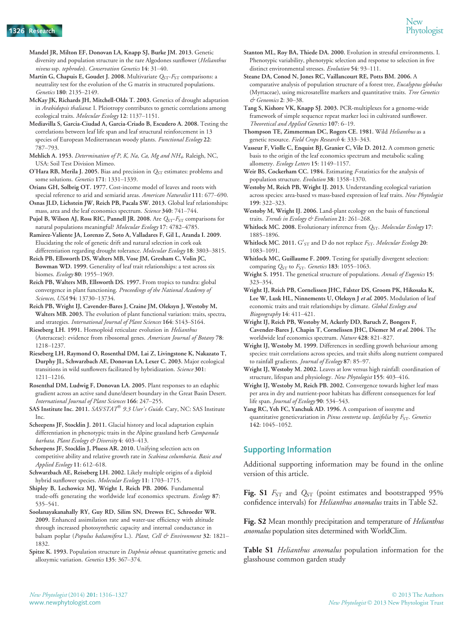Mandel JR, Milton EF, Donovan LA, Knapp SJ, Burke JM. 2013. Genetic diversity and population structure in the rare Algodones sunflower (Helianthus niveus ssp. tephrodes). Conservation Genetics 14: 31–40.

Martin G, Chapuis E, Goudet J. 2008. Multivariate  $Q_{ST}$ - $F_{ST}$  comparisons: a neutrality test for the evolution of the G matrix in structured populations. Genetics 180: 2135–2149.

McKay JK, Richards JH, Mitchell-Olds T. 2003. Genetics of drought adaptation in Arabidopsis thaliana: I. Pleiotropy contributes to genetic correlations among ecological traits. Molecular Ecology 12: 1137–1151.

Mediavilla S, Garcia-Ciudad A, Garcia-Criado B, Escudero A. 2008. Testing the correlations between leaf life span and leaf structural reinforcement in 13 species of European Mediterranean woody plants. Functional Ecology 22: 787–793.

Mehlich A. 1953. Determination of P, K, Na, Ca, Mg and NH4. Raleigh, NC, USA: Soil Test Division Mimeo.

O'Hara RB, Merila J. 2005. Bias and precision in  $Q_{ST}$  estimates: problems and some solutions. Genetics 171: 1331-1339.

Orians GH, Solbrig OT. 1977. Cost-income model of leaves and roots with special reference to arid and semiarid areas. American Naturalist 111: 677–690.

Osnas JLD, Lichstein JW, Reich PB, Pacala SW. 2013. Global leaf relationships: mass, area and the leaf economics spectrum. Science 340: 741-744.

Pujol B, Wilson AJ, Ross RIC, Pannell JR. 2008. Are  $Q_{ST}$ - $F_{ST}$  comparisons for natural populations meaningful? Molecular Ecology 17: 4782–4785.

Ramirez-Valiente JA, Lorenzo Z, Soto A, Valladares F, Gil L, Aranda I. 2009. Elucidating the role of genetic drift and natural selection in cork oak differentiation regarding drought tolerance. Molecular Ecology 18: 3803-3815.

Reich PB, Ellsworth DS, Walters MB, Vose JM, Gresham C, Volin JC, Bowman WD. 1999. Generality of leaf trait relationships: a test across six biomes. Ecology 80: 1955-1969.

Reich PB, Walters MB, Ellsworth DS. 1997. From tropics to tundra: global convergence in plant functioning. Proceedings of the National Academy of Sciences, USA 94: 13730–13734.

Reich PB, Wright IJ, Cavender-Bares J, Craine JM, Oleksyn J, Westoby M, Walters MB. 2003. The evolution of plant functional variation: traits, spectra, and strategies. International Journal of Plant Sciences 164: S143–S164.

Rieseberg LH. 1991. Homoploid reticulate evolution in Helianthus (Asteraceae): evidence from ribosomal genes. American Journal of Botany 78: 1218–1237.

Rieseberg LH, Raymond O, Rosenthal DM, Lai Z, Livingstone K, Nakazato T, Durphy JL, Schwarzbach AE, Donovan LA, Lexer C. 2003. Major ecological transitions in wild sunflowers facilitated by hybridization. Science 301: 1211–1216.

Rosenthal DM, Ludwig F, Donovan LA. 2005. Plant responses to an edaphic gradient across an active sand dune/desert boundary in the Great Basin Desert. International Journal of Plant Sciences 166: 247–255.

SAS Institute Inc. 2011. SAS/STAT<sup>®</sup> 9.3 User's Guide. Cary, NC: SAS Institute Inc.

Scheepens JF, Stocklin J. 2011. Glacial history and local adaptation explain differentiation in phenotypic traits in the Alpine grassland herb Campanula barbata. Plant Ecology & Diversity 4: 403-413.

Scheepens JF, Stocklin J, Pluess AR. 2010. Unifying selection acts on competitive ability and relative growth rate in Scabiosa columbaria. Basic and Applied Ecology 11: 612–618.

Schwarzbach AE, Reiseberg LH. 2002. Likely multiple origins of a diploid hybrid sunflower species. Molecular Ecology 11: 1703–1715.

Shipley B, Lechowicz MJ, Wright I, Reich PB. 2006. Fundamental trade-offs generating the worldwide leaf economics spectrum. Ecology 87: 535–541.

Soolanayakanahally RY, Guy RD, Silim SN, Drewes EC, Schroeder WR. 2009. Enhanced assimilation rate and water-use efficiency with altitude through increased photosynthetic capacity and internal conductance in balsam poplar (Populus balsamifera L.). Plant, Cell & Environment 32: 1821-1832.

Spitze K. 1993. Population structure in *Daphnia obtusa*: quantitative genetic and allozymic variation. Genetics 135: 367-374.

Stanton ML, Roy BA, Thiede DA. 2000. Evolution in stressful environments. I. Phenotypic variability, phenotypic selection and response to selection in five distinct environmental stresses. Evolution 54: 93-111.

Steane DA, Conod N, Jones RC, Vaillancourt RE, Potts BM. 2006. A comparative analysis of population structure of a forest tree, Eucalyptus globulus (Myrtaceae), using microsatellite markers and quantitative traits. Tree Genetics & Genomics 2: 30–38.

Tang S, Kishore VK, Knapp SJ. 2003. PCR-multiplexes for a genome-wide framework of simple sequence repeat marker loci in cultivated sunflower. Theoretical and Applied Genetics 107: 6–19.

Thompson TE, Zimmerman DC, Rogers CE. 1981. Wild Helianthus as a genetic resource. Field Crops Research 4: 333–343.

Vasseur F, Violle C, Enquist BJ, Granier C, Vile D. 2012. A common genetic basis to the origin of the leaf economics spectrum and metabolic scaling allometry. Ecology Letters 15: 1149-1157.

Weir BS, Cockerham CC. 1984. Estimating F-statistics for the analysis of population structure. Evolution 38: 1358–1370.

Westoby M, Reich PB, Wright IJ. 2013. Understanding ecological variation across species: area-based vs mass-based expression of leaf traits. New Phytologist 199: 322–323.

Westoby M, Wright IJ. 2006. Land-plant ecology on the basis of functional traits. Trends in Ecology & Evolution 21: 261-268.

Whitlock MC. 2008. Evolutionary inference from Q<sub>ST</sub>. Molecular Ecology 17: 1885–1896.

Whitlock MC. 2011.  $\mathrm{G}_{\mathrm{ST}}'$  and D do not replace  $F_{\mathrm{ST}}$ . Molecular Ecology 20: 1083–1091.

Whitlock MC, Guillaume F. 2009. Testing for spatially divergent selection: comparing  $Q_{ST}$  to  $F_{ST}$ . Genetics 183: 1055–1063.

Wright S. 1951. The genetical structure of populations. Annals of Eugenics 15: 323–354.

Wright IJ, Reich PB, Cornelissen JHC, Falster DS, Groom PK, Hikosaka K, Lee W, Lusk HL, Ninnements U, Oleksyn J et al. 2005. Modulation of leaf economic traits and trait relationships by climate. Global Ecology and Biogeography 14: 411–421.

Wright IJ, Reich PB, Westoby M, Ackerly DD, Baruch Z, Bongers F, Cavender-Bares J, Chapin T, Cornelissen JHC, Diemer M et al. 2004. The worldwide leaf economics spectrum. Nature 428: 821–827.

Wright IJ, Westoby M. 1999. Differences in seedling growth behaviour among species: trait correlations across species, and trait shifts along nutrient compared to rainfall gradients. Journal of Ecology 87: 85–97.

Wright IJ, Westoby M. 2002. Leaves at low versus high rainfall: coordination of structure, lifespan and physiology. New Phytologist 155: 403-416.

Wright IJ, Westoby M, Reich PB. 2002. Convergence towards higher leaf mass per area in dry and nutrient-poor habitats has different consequences for leaf life span. Journal of Ecology 90: 534-543.

Yang RC, Yeh FC, Yanchuk AD. 1996. A comparison of isozyme and quantitative geneticvariation in *Pinus contorta* ssp. *latifolia* by  $F_{ST}$ . *Genetics* 142: 1045–1052.

# Supporting Information

Additional supporting information may be found in the online version of this article.

Fig. S1  $F_{ST}$  and  $Q_{ST}$  (point estimates and bootstrapped 95% confidence intervals) for Helianthus anomalus traits in Table S2.

Fig. S2 Mean monthly precipitation and temperature of *Helianthus* anomalus population sites determined with WorldClim.

Table S1 Helianthus anomalus population information for the glasshouse common garden study